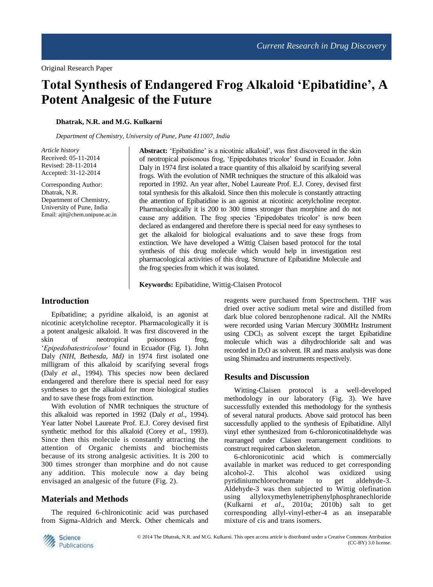# **Total Synthesis of Endangered Frog Alkaloid 'Epibatidine', A Potent Analgesic of the Future**

#### **Dhatrak, N.R. and M.G. Kulkarni**

*Department of Chemistry, University of Pune, Pune 411007, India*

*Article history* Received: 05-11-2014 Revised: 28-11-2014 Accepted: 31-12-2014

Corresponding Author: Dhatrak, N.R. Department of Chemistry, University of Pune, India Email: ajit@chem.unipune.ac.in **Abstract:** 'Epibatidine' is a nicotinic alkaloid', was first discovered in the skin of neotropical poisonous frog, 'Epipedobates tricolor' found in Ecuador. John Daly in 1974 first isolated a trace quantity of this alkaloid by scarifying several frogs. With the evolution of NMR techniques the structure of this alkaloid was reported in 1992. An year after, Nobel Laureate Prof. E.J. Corey, devised first total synthesis for this alkaloid. Since then this molecule is constantly attracting the attention of Epibatidine is an agonist at nicotinic acetylcholine receptor. Pharmacologically it is 200 to 300 times stronger than morphine and do not cause any addition. The frog species 'Epipedobates tricolor' is now been declared as endangered and therefore there is special need for easy syntheses to get the alkaloid for biological evaluations and to save these frogs from extinction. We have developed a Wittig Claisen based protocol for the total synthesis of this drug molecule which would help in investigation rest pharmacological activities of this drug. Structure of Epibatidine Molecule and the frog species from which it was isolated.

**Keywords:** Epibatidine, Wittig-Claisen Protocol

## **Introduction**

Epibatidine; a pyridine alkaloid, is an agonist at nicotinic acetylcholine receptor. Pharmacologically it is a potent analgesic alkaloid. It was first discovered in the skin of neotropical poisonous frog, '*Epipedobatestricolour'* found in Ecuador (Fig. 1). John Daly *(NIH, Bethesda, Md)* in 1974 first isolated one milligram of this alkaloid by scarifying several frogs (Daly *et al*., 1994). This species now been declared endangered and therefore there is special need for easy syntheses to get the alkaloid for more biological studies and to save these frogs from extinction.

With evolution of NMR techniques the structure of this alkaloid was reported in 1992 (Daly *et al*., 1994). Year latter Nobel Laureate Prof. E.J. Corey devised first synthetic method for this alkaloid (Corey *et al*., 1993). Since then this molecule is constantly attracting the attention of Organic chemists and biochemists because of its strong analgesic activities. It is 200 to 300 times stronger than morphine and do not cause any addition. This molecule now a day being envisaged an analgesic of the future (Fig. 2).

## **Materials and Methods**

The required 6-chlronicotinic acid was purchased from Sigma-Aldrich and Merck. Other chemicals and reagents were purchased from Spectrochem. THF was dried over active sodium metal wire and distilled from dark blue colored benzophenone radical. All the NMRs were recorded using Varian Mercury 300MHz Instrument using  $CDC<sub>13</sub>$  as solvent except the target Epibatidine molecule which was a dihydrochloride salt and was recorded in  $D<sub>2</sub>O$  as solvent. IR and mass analysis was done using Shimadzu and instruments respectively.

## **Results and Discussion**

Witting-Claisen protocol is a well-developed methodology in our laboratory (Fig. 3). We have successfully extended this methodology for the synthesis of several natural products. Above said protocol has been successfully applied to the synthesis of Epibatidine. Allyl vinyl ether synthesized from 6-chloronicotinaldehyde was rearranged under Claisen rearrangement conditions to construct required carbon skeleton.

6-chloronicotinic acid which is commercially available in market was reduced to get corresponding alcohol-2. This alcohol was oxidized using pyridiniumchlorochromate to get aldehyde-3. Aldehyde-3 was then subjected to Wittig olefination using allyloxymethylenetriphenylphosphranechloride (Kulkarni *et al*., 2010a; 2010b) salt to get corresponding allyl-vinyl-ether-4 as an inseparable mixture of cis and trans isomers.

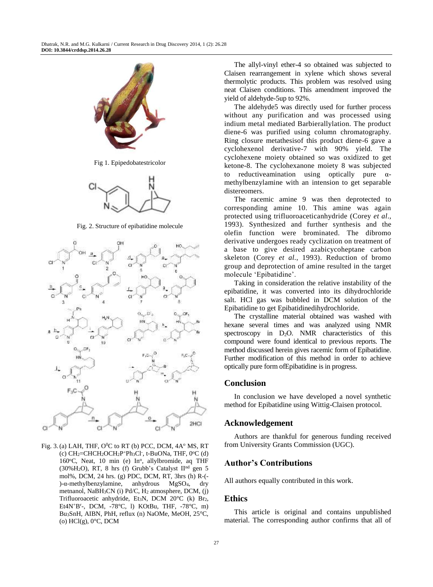

Fig 1. Epipedobatestricolor



Fig. 2. Structure of epibatidine molecule



Fig. 3.(a) LAH, THF,  $O^{0}C$  to RT (b) PCC, DCM,  $4A^{o}$  MS, RT  $(c)$  CH<sub>2</sub>=CHCH<sub>2</sub>OCH<sub>2</sub>P<sup>+</sup>Ph<sub>3</sub>Cl<sup>-</sup>, t-BuONa, THF, 0°C (d) 160°C, Neat, 10 min (e) In°, allylbromide, aq THF  $(30\%H_2O)$ , RT, 8 hrs (f) Grubb's Catalyst II<sup>nd</sup> gen 5 mol%, DCM, 24 hrs. (g) PDC, DCM, RT, 3hrs (h) R-(- )-α-methylbenzylamine, anhydrous MgSO4, dry metnanol, NaBH3CN (i) Pd/C, H<sup>2</sup> atmosphere, DCM, (j) Trifluoroacetic anhydride, Et3N, DCM 20°C (k) Br2, Et4N<sup>+</sup>B<sup>r</sup> -, DCM, -78°C, l) KOtBu, THF, -78°C, m) Bu3SnH, AIBN, PhH, reflux (n) NaOMe, MeOH, 25°C,  $(0)$  HCl $(g)$ ,  $0^{\circ}$ C, DCM

The allyl-vinyl ether-4 so obtained was subjected to Claisen rearrangement in xylene which shows several thermolytic products. This problem was resolved using neat Claisen conditions. This amendment improved the yield of aldehyde-5up to 92%.

The aldehyde5 was directly used for further process without any purification and was processed using indium metal mediated Barbierallylation. The product diene-6 was purified using column chromatography. Ring closure metathesisof this product diene-6 gave a cyclohexenol derivative-7 with 90% yield. The cyclohexene moiety obtained so was oxidized to get ketone-8. The cyclohexanone moiety 8 was subjected to reductive amination using optically pure  $\alpha$ methylbenzylamine with an intension to get separable distereomers.

The racemic amine 9 was then deprotected to corresponding amine 10. This amine was again protected using trifluoroaceticanhydride (Corey *et al*., 1993). Synthesized and further synthesis and the olefin function were brominated. The dibromo derivative undergoes ready cyclization on treatment of a base to give desired azabicycoheptane carbon skeleton (Corey *et al*., 1993). Reduction of bromo group and deprotection of amine resulted in the target molecule 'Epibatidine'.

Taking in consideration the relative instability of the epibatidine, it was converted into its dihydrochloride salt. HCl gas was bubbled in DCM solution of the Epibatidine to get Epibatidinedihydrochloride.

The crystalline material obtained was washed with hexane several times and was analyzed using NMR spectroscopy in  $D_2O$ . NMR characteristics of this compound were found identical to previous reports. The method discussed herein gives racemic form of Epibatidine. Further modification of this method in order to achieve optically pure form ofEpibatidine is in progress.

#### **Conclusion**

In conclusion we have developed a novel synthetic method for Epibatidine using Wittig-Claisen protocol.

#### **Acknowledgement**

Authors are thankful for generous funding received from University Grants Commission (UGC).

## **Author's Contributions**

All authors equally contributed in this work.

#### **Ethics**

This article is original and contains unpublished material. The corresponding author confirms that all of